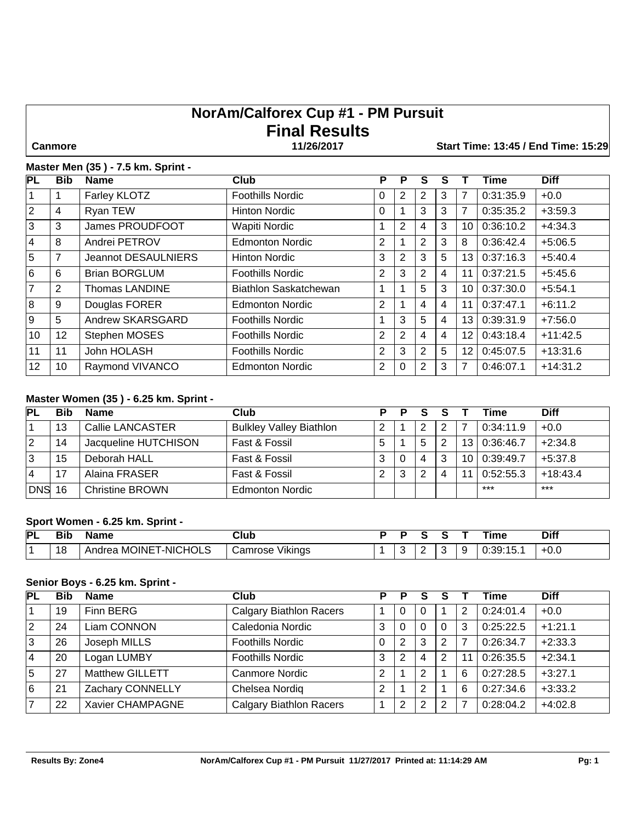# **NorAm/Calforex Cup #1 - PM Pursuit Final Results**

 **Canmore 11/26/2017 Start Time: 13:45 / End Time: 15:29**

#### **Master Men (35 ) - 7.5 km. Sprint -**

| PL             | <b>Bib</b> | <b>Name</b>                | <b>Club</b>             | P              | P              | S              |   |                 | <b>Time</b> | <b>Diff</b> |
|----------------|------------|----------------------------|-------------------------|----------------|----------------|----------------|---|-----------------|-------------|-------------|
|                |            | Farley KLOTZ               | <b>Foothills Nordic</b> | 0              | 2              | 2              | 3 | 7               | 0:31:35.9   | $+0.0$      |
| $\overline{2}$ | 4          | Ryan TEW                   | <b>Hinton Nordic</b>    | 0              |                | 3              | 3 | 7               | 0:35:35.2   | $+3:59.3$   |
| 3              | 3          | James PROUDFOOT            | Wapiti Nordic           |                | 2              | 4              | 3 | 10              | 0:36:10.2   | $+4:34.3$   |
| 4              | 8          | Andrei PETROV              | <b>Edmonton Nordic</b>  | 2              |                | 2              | 3 | 8               | 0:36:42.4   | $+5:06.5$   |
| 5              | 7          | <b>Jeannot DESAULNIERS</b> | Hinton Nordic           | 3              | $\overline{2}$ | 3              | 5 | 13 <sup>1</sup> | 0:37:16.3   | $+5:40.4$   |
| 6              | 6          | <b>Brian BORGLUM</b>       | <b>Foothills Nordic</b> | 2              | 3              | 2              | 4 | 11              | 0:37:21.5   | $+5:45.6$   |
| $\overline{7}$ | 2          | <b>Thomas LANDINE</b>      | Biathlon Saskatchewan   |                |                | 5              | 3 | 10              | 0:37:30.0   | $+5:54.1$   |
| 8              | 9          | Douglas FORER              | <b>Edmonton Nordic</b>  | $\overline{2}$ |                | 4              | 4 | 11              | 0:37:47.1   | $+6:11.2$   |
| 9              | 5          | Andrew SKARSGARD           | <b>Foothills Nordic</b> |                | 3              | 5              | 4 | 13 <sup>1</sup> | 0:39:31.9   | $+7:56.0$   |
| 10             | 12         | Stephen MOSES              | <b>Foothills Nordic</b> | 2              | 2              | 4              | 4 | 12              | 0:43:18.4   | $+11:42.5$  |
| 11             | 11         | John HOLASH                | <b>Foothills Nordic</b> | $\overline{2}$ | 3              | $\overline{2}$ | 5 | 12              | 0:45:07.5   | $+13:31.6$  |
| 12             | 10         | Raymond VIVANCO            | <b>Edmonton Nordic</b>  | 2              | 0              | 2              | 3 | 7               | 0:46:07.1   | $+14.31.2$  |

## **Master Women (35 ) - 6.25 km. Sprint -**

| PL            | Bib | <b>Name</b>            | Club                           |        | P |   |     | Time      | <b>Diff</b> |
|---------------|-----|------------------------|--------------------------------|--------|---|---|-----|-----------|-------------|
|               | 13  | Callie LANCASTER       | <b>Bulkley Valley Biathlon</b> |        |   |   |     | 0:34:11.9 | $+0.0$      |
| 2             | 14  | Jacqueline HUTCHISON   | Fast & Fossil                  | b      |   | 2 | 13  | 0:36:46.7 | $+2:34.8$   |
| 13            | 15  | Deborah HALL           | Fast & Fossil                  | ົ<br>د | 0 | 3 | 10  | 0:39:49.7 | $+5:37.8$   |
| 4             | 17  | Alaina FRASER          | Fast & Fossil                  |        | 3 |   | -11 | 0:52:55.3 | $+18:43.4$  |
| <b>DNS 16</b> |     | <b>Christine BROWN</b> | <b>Edmonton Nordic</b>         |        |   |   |     | $***$     | $***$       |

#### **Sport Women - 6.25 km. Sprint -**

| PL | אוכי | Name                                               | Club                     |   |   | ⊺ime<br>______ | Diff   |
|----|------|----------------------------------------------------|--------------------------|---|---|----------------|--------|
|    | 18   | <b>CHOLS</b><br>$\cdot$ i -NIC'.<br>Andrea MOINE I | <br>Vikinas<br>⊖amrose ∵ | ∼ | ∼ | -<br>∪:39:15.1 | $+0.0$ |

# **Senior Boys - 6.25 km. Sprint -**

| <b>PL</b> | <b>Bib</b> | <b>Name</b>            | Club                           | D | Р              |   |   |    | Time      | <b>Diff</b> |
|-----------|------------|------------------------|--------------------------------|---|----------------|---|---|----|-----------|-------------|
|           | 19         | Finn BERG              | <b>Calgary Biathlon Racers</b> |   | 0              |   |   | 2  | 0:24:01.4 | $+0.0$      |
| <u> 2</u> | 24         | Liam CONNON            | Caledonia Nordic               | 3 | 0              |   | 0 | 3  | 0:25:22.5 | $+1:21.1$   |
| 3         | 26         | Joseph MILLS           | <b>Foothills Nordic</b>        | 0 | $\overline{2}$ | 3 | 2 | 7  | 0:26:34.7 | $+2:33.3$   |
| <u> 4</u> | 20         | Logan LUMBY            | <b>Foothills Nordic</b>        | 3 | $\overline{2}$ | 4 | 2 | 11 | 0:26:35.5 | $+2:34.1$   |
| 5         | 27         | <b>Matthew GILLETT</b> | Canmore Nordic                 | 2 |                |   |   | 6  | 0:27:28.5 | $+3:27.1$   |
| 6         | 21         | Zachary CONNELLY       | Chelsea Nordig                 | 2 |                | っ |   | 6  | 0:27:34.6 | $+3:33.2$   |
| 17        | 22         | Xavier CHAMPAGNE       | <b>Calgary Biathlon Racers</b> |   | $\overline{2}$ | ົ | 2 |    | 0:28:04.2 | $+4:02.8$   |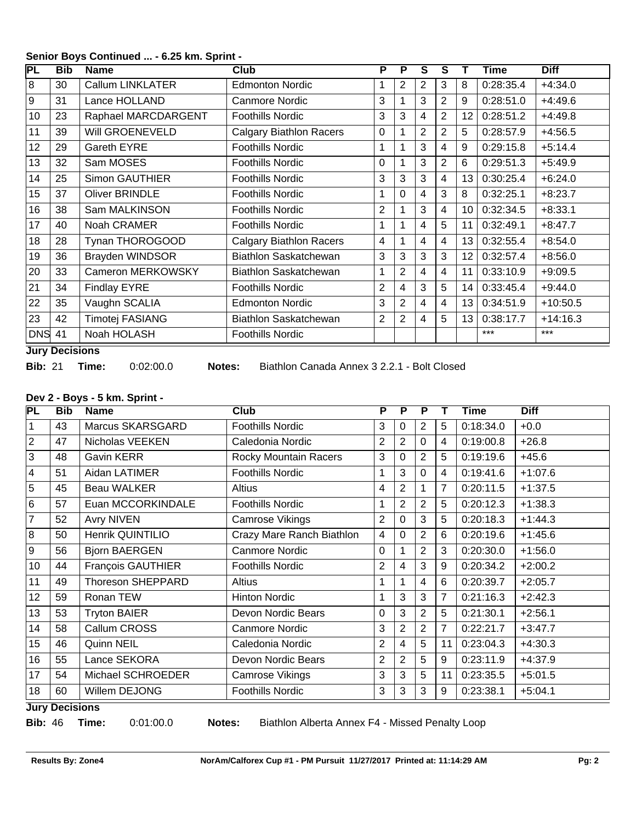# **Senior Boys Continued ... - 6.25 km. Sprint -**

| PL            | <b>Bib</b> | <b>Name</b>             | Club                           | P              | P              | S.             | S              |    | Time      | <b>Diff</b> |
|---------------|------------|-------------------------|--------------------------------|----------------|----------------|----------------|----------------|----|-----------|-------------|
| 8             | 30         | <b>Callum LINKLATER</b> | <b>Edmonton Nordic</b>         | 1              | 2              | 2              | 3              | 8  | 0:28:35.4 | $+4:34.0$   |
| 9             | 31         | Lance HOLLAND           | <b>Canmore Nordic</b>          | 3              | 1              | 3              | $\overline{2}$ | 9  | 0:28:51.0 | $+4:49.6$   |
| 10            | 23         | Raphael MARCDARGENT     | <b>Foothills Nordic</b>        | 3              | 3              | 4              | $\overline{2}$ | 12 | 0:28:51.2 | $+4:49.8$   |
| 11            | 39         | Will GROENEVELD         | <b>Calgary Biathlon Racers</b> | $\Omega$       | 1              | $\overline{2}$ | $\overline{2}$ | 5  | 0:28:57.9 | $+4:56.5$   |
| 12            | 29         | Gareth EYRE             | <b>Foothills Nordic</b>        | 1              | 1              | 3              | $\overline{4}$ | 9  | 0:29:15.8 | $+5:14.4$   |
| 13            | 32         | Sam MOSES               | <b>Foothills Nordic</b>        | $\Omega$       | 1              | 3              | $\overline{2}$ | 6  | 0:29:51.3 | $+5:49.9$   |
| 14            | 25         | <b>Simon GAUTHIER</b>   | <b>Foothills Nordic</b>        | 3              | 3              | 3              | $\overline{4}$ | 13 | 0:30:25.4 | $+6:24.0$   |
| 15            | 37         | <b>Oliver BRINDLE</b>   | <b>Foothills Nordic</b>        | 1              | $\mathbf 0$    | 4              | 3              | 8  | 0:32:25.1 | $+8:23.7$   |
| 16            | 38         | Sam MALKINSON           | <b>Foothills Nordic</b>        | $\overline{2}$ | 1              | 3              | $\overline{4}$ | 10 | 0:32:34.5 | $+8:33.1$   |
| 17            | 40         | Noah CRAMER             | <b>Foothills Nordic</b>        | 1              | 1              | 4              | 5              | 11 | 0:32:49.1 | $+8:47.7$   |
| 18            | 28         | Tynan THOROGOOD         | <b>Calgary Biathlon Racers</b> | 4              | 1              | 4              | $\overline{4}$ | 13 | 0:32:55.4 | $+8:54.0$   |
| 19            | 36         | <b>Brayden WINDSOR</b>  | Biathlon Saskatchewan          | 3              | 3              | 3              | 3              | 12 | 0:32:57.4 | $+8:56.0$   |
| 20            | 33         | Cameron MERKOWSKY       | Biathlon Saskatchewan          | 1              | $\overline{2}$ | 4              | 4              | 11 | 0:33:10.9 | $+9:09.5$   |
| 21            | 34         | <b>Findlay EYRE</b>     | <b>Foothills Nordic</b>        | $\overline{2}$ | $\overline{4}$ | 3              | 5              | 14 | 0:33:45.4 | $+9:44.0$   |
| 22            | 35         | Vaughn SCALIA           | <b>Edmonton Nordic</b>         | 3              | 2              | 4              | $\overline{4}$ | 13 | 0:34:51.9 | $+10:50.5$  |
| 23            | 42         | <b>Timotej FASIANG</b>  | Biathlon Saskatchewan          | $\overline{2}$ | 2              | 4              | 5              | 13 | 0:38:17.7 | $+14:16.3$  |
| <b>DNS 41</b> |            | Noah HOLASH             | <b>Foothills Nordic</b>        |                |                |                |                |    | ***       | $***$       |

**Jury Decisions**

**Bib:** 21 **Time:** 0:02:00.0 **Notes:** Biathlon Canada Annex 3 2.2.1 - Bolt Closed

#### **Dev 2 - Boys - 5 km. Sprint -**

| PL             | <b>Bib</b> | <b>Name</b>              | Club                      | P              | P              | P              |    | Time      | <b>Diff</b> |
|----------------|------------|--------------------------|---------------------------|----------------|----------------|----------------|----|-----------|-------------|
| 1              | 43         | Marcus SKARSGARD         | <b>Foothills Nordic</b>   | 3              | 0              | $\overline{2}$ | 5  | 0:18:34.0 | $+0.0$      |
| $\overline{2}$ | 47         | Nicholas VEEKEN          | Caledonia Nordic          | $\overline{2}$ | 2              | $\Omega$       | 4  | 0:19:00.8 | $+26.8$     |
| 3              | 48         | <b>Gavin KERR</b>        | Rocky Mountain Racers     | 3              | 0              | $\overline{2}$ | 5  | 0:19:19.6 | $+45.6$     |
| $\overline{4}$ | 51         | Aidan LATIMER            | <b>Foothills Nordic</b>   | 1              | 3              | 0              | 4  | 0:19:41.6 | $+1:07.6$   |
| 5              | 45         | <b>Beau WALKER</b>       | Altius                    | 4              | $\overline{2}$ |                | 7  | 0:20:11.5 | $+1:37.5$   |
| $6\phantom{1}$ | 57         | Euan MCCORKINDALE        | <b>Foothills Nordic</b>   | 1              | 2              | 2              | 5  | 0:20:12.3 | $+1:38.3$   |
| $\overline{7}$ | 52         | <b>Avry NIVEN</b>        | Camrose Vikings           | 2              | 0              | 3              | 5  | 0:20:18.3 | $+1:44.3$   |
| 8              | 50         | Henrik QUINTILIO         | Crazy Mare Ranch Biathlon | $\overline{4}$ | 0              | $\overline{2}$ | 6  | 0:20:19.6 | $+1:45.6$   |
| $9\,$          | 56         | <b>Bjorn BAERGEN</b>     | <b>Canmore Nordic</b>     | $\Omega$       | 1              | 2              | 3  | 0:20:30.0 | $+1:56.0$   |
| 10             | 44         | <b>François GAUTHIER</b> | <b>Foothills Nordic</b>   | $\overline{2}$ | 4              | 3              | 9  | 0:20:34.2 | $+2:00.2$   |
| 11             | 49         | <b>Thoreson SHEPPARD</b> | <b>Altius</b>             | 1              | 1              | 4              | 6  | 0:20:39.7 | $+2:05.7$   |
| 12             | 59         | Ronan TEW                | <b>Hinton Nordic</b>      | 1              | 3              | 3              | 7  | 0:21:16.3 | $+2:42.3$   |
| 13             | 53         | <b>Tryton BAIER</b>      | Devon Nordic Bears        | $\Omega$       | 3              | 2              | 5  | 0:21:30.1 | $+2:56.1$   |
| 14             | 58         | Callum CROSS             | <b>Canmore Nordic</b>     | 3              | 2              | 2              | 7  | 0:22:21.7 | $+3:47.7$   |
| 15             | 46         | Quinn NEIL               | Caledonia Nordic          | $\overline{2}$ | 4              | 5              | 11 | 0:23:04.3 | $+4:30.3$   |
| 16             | 55         | Lance SEKORA             | Devon Nordic Bears        | $\overline{2}$ | $\overline{2}$ | 5              | 9  | 0:23:11.9 | $+4:37.9$   |
| 17             | 54         | Michael SCHROEDER        | Camrose Vikings           | 3              | 3              | 5              | 11 | 0:23:35.5 | $+5:01.5$   |
| 18             | 60         | Willem DEJONG            | <b>Foothills Nordic</b>   | 3              | 3              | 3              | 9  | 0:23:38.1 | $+5:04.1$   |

## **Jury Decisions**

**Bib:** 46 **Time:** 0:01:00.0 **Notes:** Biathlon Alberta Annex F4 - Missed Penalty Loop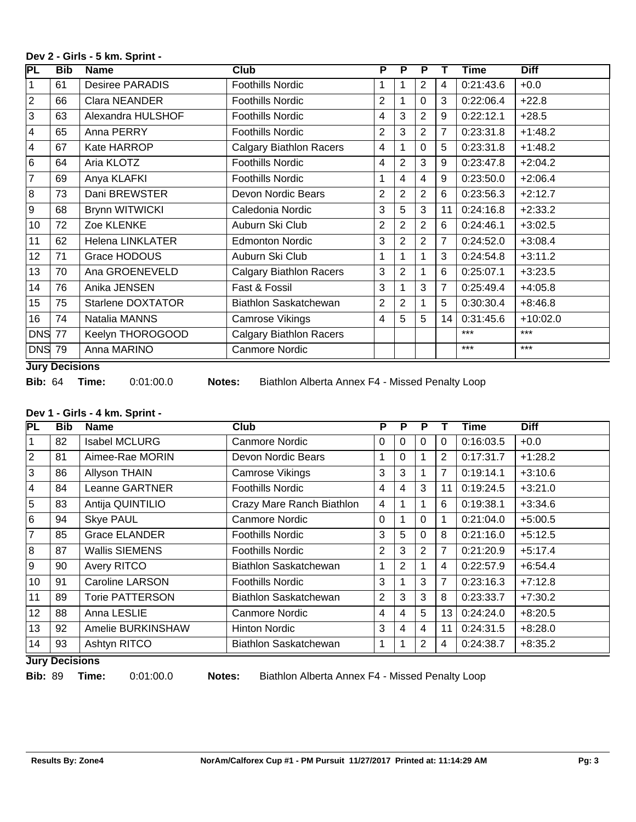### **Dev 2 - Girls - 5 km. Sprint -**

| $\overline{\mathsf{PL}}$ | Bib | <b>Name</b>              | <b>Club</b>                    | P              | P              | P              |                | <b>Time</b> | <b>Diff</b> |
|--------------------------|-----|--------------------------|--------------------------------|----------------|----------------|----------------|----------------|-------------|-------------|
| 1                        | 61  | <b>Desiree PARADIS</b>   | <b>Foothills Nordic</b>        |                | 1              | $\overline{2}$ | 4              | 0:21:43.6   | $+0.0$      |
| $\overline{2}$           | 66  | Clara NEANDER            | <b>Foothills Nordic</b>        | $\overline{2}$ | 1              | $\Omega$       | 3              | 0:22:06.4   | $+22.8$     |
| 3                        | 63  | Alexandra HULSHOF        | <b>Foothills Nordic</b>        | 4              | 3              | 2              | 9              | 0:22:12.1   | $+28.5$     |
| 4                        | 65  | Anna PERRY               | <b>Foothills Nordic</b>        | 2              | 3              | $\overline{2}$ | 7              | 0:23:31.8   | $+1:48.2$   |
| 4                        | 67  | Kate HARROP              | <b>Calgary Biathlon Racers</b> | $\overline{4}$ | $\mathbf{1}$   | 0              | 5              | 0:23:31.8   | $+1:48.2$   |
| 6                        | 64  | Aria KLOTZ               | <b>Foothills Nordic</b>        | 4              | $\overline{2}$ | 3              | 9              | 0:23:47.8   | $+2:04.2$   |
| 7                        | 69  | Anya KLAFKI              | Foothills Nordic               |                | 4              | 4              | 9              | 0:23:50.0   | $+2:06.4$   |
| 8                        | 73  | Dani BREWSTER            | Devon Nordic Bears             | $\overline{2}$ | $\overline{2}$ | $\overline{2}$ | 6              | 0:23:56.3   | $+2:12.7$   |
| 9                        | 68  | <b>Brynn WITWICKI</b>    | Caledonia Nordic               | 3              | 5              | 3              | 11             | 0:24:16.8   | $+2:33.2$   |
| 10                       | 72  | Zoe KLENKE               | Auburn Ski Club                | $\overline{2}$ | $\overline{2}$ | $\overline{2}$ | 6              | 0:24:46.1   | $+3:02.5$   |
| 11                       | 62  | <b>Helena LINKLATER</b>  | <b>Edmonton Nordic</b>         | 3              | 2              | $\overline{2}$ | 7              | 0:24:52.0   | $+3:08.4$   |
| 12                       | 71  | Grace HODOUS             | Auburn Ski Club                | 1              | 1              |                | 3              | 0:24:54.8   | $+3:11.2$   |
| 13                       | 70  | Ana GROENEVELD           | <b>Calgary Biathlon Racers</b> | 3              | $\overline{2}$ |                | 6              | 0:25:07.1   | $+3:23.5$   |
| 14                       | 76  | Anika JENSEN             | Fast & Fossil                  | 3              | 1              | 3              | $\overline{7}$ | 0:25:49.4   | $+4:05.8$   |
| 15                       | 75  | <b>Starlene DOXTATOR</b> | <b>Biathlon Saskatchewan</b>   | $\overline{2}$ | $\overline{2}$ |                | 5              | 0:30:30.4   | $+8:46.8$   |
| 16                       | 74  | Natalia MANNS            | Camrose Vikings                | $\overline{4}$ | 5              | 5              | 14             | 0:31:45.6   | $+10:02.0$  |
| <b>DNS 77</b>            |     | Keelyn THOROGOOD         | <b>Calgary Biathlon Racers</b> |                |                |                |                | ***         | $***$       |
| <b>DNS 79</b>            |     | Anna MARINO              | Canmore Nordic                 |                |                |                |                | ***         | $***$       |

## **Jury Decisions**

**Bib:** 64 **Time:** 0:01:00.0 **Notes:** Biathlon Alberta Annex F4 - Missed Penalty Loop

# **Dev 1 - Girls - 4 km. Sprint -**

| PL             | <b>Bib</b> | <b>Name</b>            | <b>Club</b>               | Р              | P              | P            |                | Time      | <b>Diff</b> |
|----------------|------------|------------------------|---------------------------|----------------|----------------|--------------|----------------|-----------|-------------|
| 1              | 82         | <b>Isabel MCLURG</b>   | Canmore Nordic            | 0              | 0              | $\mathbf{0}$ | 0              | 0:16:03.5 | $+0.0$      |
| $\overline{2}$ | 81         | Aimee-Rae MORIN        | Devon Nordic Bears        |                | 0              |              | 2              | 0:17:31.7 | $+1:28.2$   |
| 3              | 86         | <b>Allyson THAIN</b>   | <b>Camrose Vikings</b>    | 3              | 3              |              | 7              | 0:19:14.1 | $+3:10.6$   |
| $\overline{4}$ | 84         | Leanne GARTNER         | <b>Foothills Nordic</b>   | 4              | 4              | 3            | 11             | 0:19:24.5 | $+3:21.0$   |
| 5              | 83         | Antija QUINTILIO       | Crazy Mare Ranch Biathlon | 4              |                |              | 6              | 0:19:38.1 | $+3:34.6$   |
| l 6            | 94         | <b>Skye PAUL</b>       | Canmore Nordic            | $\Omega$       |                | $\Omega$     | 1              | 0:21:04.0 | $+5:00.5$   |
| $\overline{7}$ | 85         | <b>Grace ELANDER</b>   | <b>Foothills Nordic</b>   | 3              | 5              | $\Omega$     | 8              | 0:21:16.0 | $+5:12.5$   |
| 8              | 87         | <b>Wallis SIEMENS</b>  | <b>Foothills Nordic</b>   | $\overline{2}$ | 3              | 2            | 7              | 0:21:20.9 | $+5:17.4$   |
| <u>g</u>       | 90         | Avery RITCO            | Biathlon Saskatchewan     | 1              | $\overline{2}$ |              | 4              | 0:22:57.9 | $+6:54.4$   |
| 10             | 91         | <b>Caroline LARSON</b> | <b>Foothills Nordic</b>   | 3              |                | 3            | $\overline{7}$ | 0:23:16.3 | $+7:12.8$   |
| 11             | 89         | <b>Torie PATTERSON</b> | Biathlon Saskatchewan     | $\overline{2}$ | 3              | 3            | 8              | 0:23:33.7 | $+7:30.2$   |
| 12             | 88         | Anna LESLIE            | Canmore Nordic            | 4              | 4              | 5            | 13             | 0:24:24.0 | $+8:20.5$   |
| 13             | 92         | Amelie BURKINSHAW      | <b>Hinton Nordic</b>      | 3              | 4              | 4            | 11             | 0:24:31.5 | $+8:28.0$   |
| 14             | 93         | Ashtyn RITCO           | Biathlon Saskatchewan     | 1              |                | 2            | 4              | 0:24:38.7 | $+8:35.2$   |

**Jury Decisions**

**Bib:** 89 **Time:** 0:01:00.0 **Notes:** Biathlon Alberta Annex F4 - Missed Penalty Loop